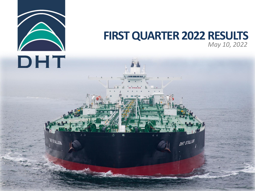

**BAT STALLION** 

#### **FIRST QUARTER 2022 RESULTS** *May 10, 2022*

DHT STALLION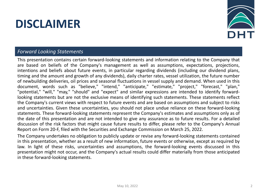# **DISCLAIMER**



#### *Forward Looking Statements*

This presentation contains certain forward-looking statements and information relating to the Company that are based on beliefs of the Company's management as well as assumptions, expectations, projections, intentions and beliefs about future events, in particular regarding dividends (including our dividend plans, timing and the amount and growth of any dividends), daily charter rates, vessel utilization, the future number of newbuilding deliveries, oil prices and seasonal fluctuations in vessel supply and demand. When used in this document, words such as "believe," "intend," "anticipate," "estimate," "project," "forecast," "plan," "potential," "will," "may," "should" and "expect" and similar expressions are intended to identify forwardlooking statements but are not the exclusive means of identifying such statements. These statements reflect the Company's current views with respect to future events and are based on assumptions and subject to risks and uncertainties. Given these uncertainties, you should not place undue reliance on these forward-looking statements. These forward-looking statements represent the Company's estimates and assumptions only as of the date of this presentation and are not intended to give any assurance as to future results. For a detailed discussion of the risk factors that might cause future results to differ, please refer to the Company's Annual Report on Form 20-F, filed with the Securities and Exchange Commission on March 25, 2022.

The Company undertakes no obligation to publicly update or revise any forward-looking statements contained in this presentation, whether as a result of new information, future events or otherwise, except as required by law. In light of these risks, uncertainties and assumptions, the forward-looking events discussed in this presentation might not occur, and the Company's actual results could differ materially from those anticipated in these forward-looking statements.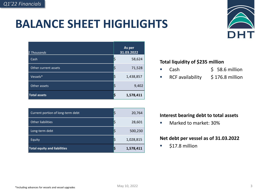# **BALANCE SHEET HIGHLIGHTS**



| \$ Thousands         | As per<br>31.03.2022 |
|----------------------|----------------------|
| Cash                 | 58,624               |
| Other current assets | 71,528               |
| Vessels*             | 1,438,857            |
| Other assets         | 9,402                |
| <b>Total assets</b>  | 1,578,411            |

| Current portion of long-term debt   | 20,764    |
|-------------------------------------|-----------|
| <b>Other liabilities</b>            | 28,601    |
| Long-term debt                      | 500,230   |
| Equity                              | 1,028,815 |
| <b>Total equity and liabilities</b> | 1,578,411 |

#### **Total liquidity of \$235 million**

- Cash \$ 58.6 million
- RCF availability \$176.8 million

#### **Interest bearing debt to total assets**

■ Marked to market: 30%

#### **Net debt per vessel as of 31.03.2022**

\$17.8 million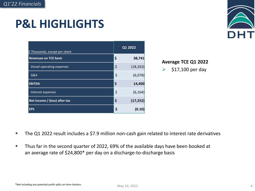# **P&L HIGHLIGHTS**



| \$ Thousands, except per share | Q1 2022         |
|--------------------------------|-----------------|
| <b>Revenues on TCE basis</b>   | \$<br>38,741    |
| Vessel operating expenses      | \$<br>(18, 263) |
| G&A                            | \$<br>(6,078)   |
| <b>EBITDA</b>                  | \$<br>14,400    |
| Interest expenses              | \$<br>(6, 164)  |
| Net Income / (loss) after tax  | \$<br>(17, 252) |
| <b>EPS</b>                     | \$<br>(0.10)    |

#### **Average TCE Q1 2022**

➢ \$17,100 per day

- The Q1 2022 result includes a \$7.9 million non-cash gain related to interest rate derivatives
- Thus far in the second quarter of 2022, 69% of the available days have been booked at an average rate of \$24,800\* per day on a discharge-to-discharge basis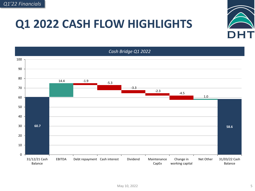## **Q1 2022 CASH FLOW HIGHLIGHTS**



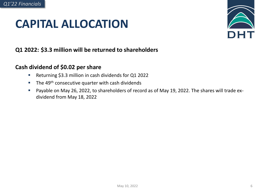### **CAPITAL ALLOCATION**



#### **Q1 2022: \$3.3 million will be returned to shareholders**

#### **Cash dividend of \$0.02 per share**

- Returning \$3.3 million in cash dividends for Q1 2022
- $\blacksquare$  The 49<sup>th</sup> consecutive quarter with cash dividends
- Payable on May 26, 2022, to shareholders of record as of May 19, 2022. The shares will trade exdividend from May 18, 2022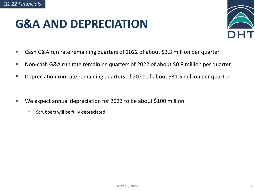### **G&A AND DEPRECIATION**



- Cash G&A run rate remaining quarters of 2022 of about \$3.3 million per quarter
- Non-cash G&A run rate remaining quarters of 2022 of about \$0.8 million per quarter
- Depreciation run rate remaining quarters of 2022 of about \$31.5 million per quarter
- We expect annual depreciation for 2023 to be about \$100 million
	- Scrubbers will be fully depreciated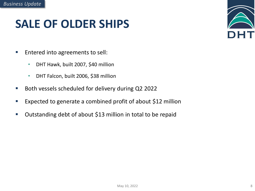## **SALE OF OLDER SHIPS**



- Entered into agreements to sell:
	- DHT Hawk, built 2007, \$40 million
	- DHT Falcon, built 2006, \$38 million
- Both vessels scheduled for delivery during Q2 2022
- Expected to generate a combined profit of about \$12 million
- Outstanding debt of about \$13 million in total to be repaid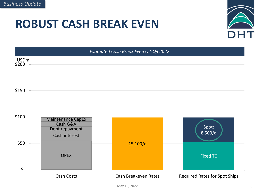#### **ROBUST CASH BREAK EVEN**





May 10, 2022 9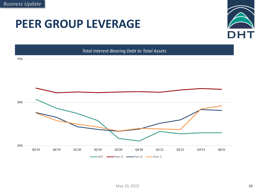### **PEER GROUP LEVERAGE**



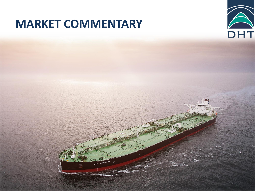### **MARKET COMMENTARY**

DHT STALLION



May 10, 2022 11, 2022 11, 2022 11, 2022 11, 2022 11, 2022 11, 2022 11, 2022 11, 2022 11, 2022 11, 2022 11, 20